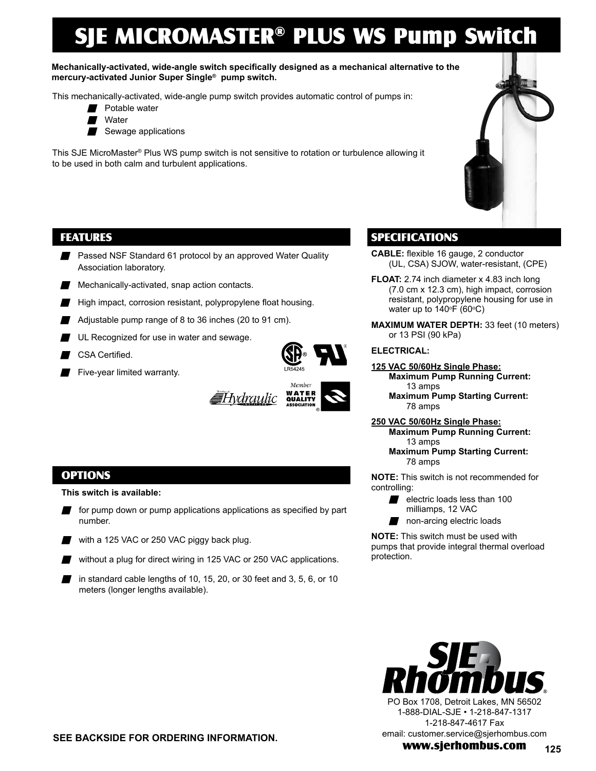# SJE MICROMASTER® PLUS WS Pump Switch

**Mechanically-activated, wide-angle switch specifically designed as a mechanical alternative to the mercury-activated Junior Super Single® pump switch.**

This mechanically-activated, wide-angle pump switch provides automatic control of pumps in:

- Potable water
- $\blacksquare$  Water
- Sewage applications

This SJE MicroMaster® Plus WS pump switch is not sensitive to rotation or turbulence allowing it to be used in both calm and turbulent applications.

### FEATURES

- **Passed NSF Standard 61 protocol by an approved Water Quality** Association laboratory.
- $\blacksquare$  Mechanically-activated, snap action contacts.
- $\blacksquare$  High impact, corrosion resistant, polypropylene float housing.
- Adjustable pump range of 8 to 36 inches  $(20 \text{ to } 91 \text{ cm})$ .
- **N** UL Recognized for use in water and sewage.
- CSA Certified.
- Five-year limited warranty.





# SPECIFICATIONS

- **CABLE:** flexible 16 gauge, 2 conductor (UL, CSA) SJOW, water-resistant, (CPE)
- **FLOAT:** 2.74 inch diameter x 4.83 inch long (7.0 cm x 12.3 cm), high impact, corrosion resistant, polypropylene housing for use in water up to 140°F (60°C)
- **MAXIMUM WATER DEPTH:** 33 feet (10 meters) or 13 PSI (90 kPa)

#### **ELECTRICAL:**

- **125 VAC 50/60Hz Single Phase: Maximum Pump Running Current:** 13 amps
	- **Maximum Pump Starting Current:** 78 amps
- **250 VAC 50/60Hz Single Phase: Maximum Pump Running Current:** 13 amps
	- **Maximum Pump Starting Current:** 78 amps

**NOTE:** This switch is not recommended for controlling:

- electric loads less than 100 milliamps, 12 VAC
- $\blacksquare$  non-arcing electric loads

**NOTE:** This switch must be used with pumps that provide integral thermal overload protection.



#### $\blacksquare$  for pump down or pump applications applications as specified by part number.

**This switch is available:**

OPTIONS

- with a 125 VAC or 250 VAC piggy back plug.
- $\blacksquare$  without a plug for direct wiring in 125 VAC or 250 VAC applications.
- in standard cable lengths of 10, 15, 20, or 30 feet and 3, 5, 6, or 10 meters (longer lengths available).